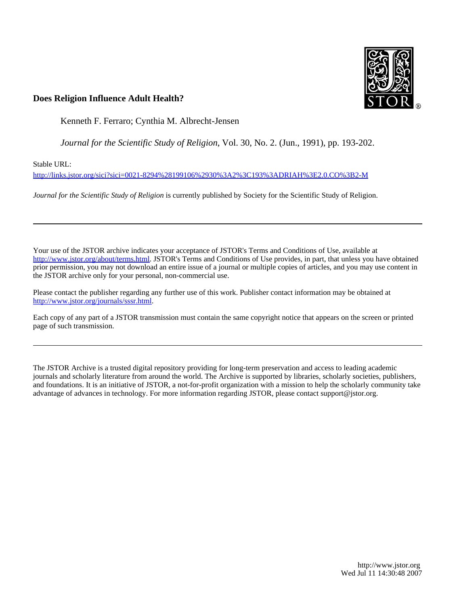

## **Does Religion Influence Adult Health?**

Kenneth F. Ferraro; Cynthia M. Albrecht-Jensen

*Journal for the Scientific Study of Religion*, Vol. 30, No. 2. (Jun., 1991), pp. 193-202.

Stable URL:

<http://links.jstor.org/sici?sici=0021-8294%28199106%2930%3A2%3C193%3ADRIAH%3E2.0.CO%3B2-M>

*Journal for the Scientific Study of Religion* is currently published by Society for the Scientific Study of Religion.

Your use of the JSTOR archive indicates your acceptance of JSTOR's Terms and Conditions of Use, available at [http://www.jstor.org/about/terms.html.](http://www.jstor.org/about/terms.html) JSTOR's Terms and Conditions of Use provides, in part, that unless you have obtained prior permission, you may not download an entire issue of a journal or multiple copies of articles, and you may use content in the JSTOR archive only for your personal, non-commercial use.

Please contact the publisher regarding any further use of this work. Publisher contact information may be obtained at <http://www.jstor.org/journals/sssr.html>.

Each copy of any part of a JSTOR transmission must contain the same copyright notice that appears on the screen or printed page of such transmission.

The JSTOR Archive is a trusted digital repository providing for long-term preservation and access to leading academic journals and scholarly literature from around the world. The Archive is supported by libraries, scholarly societies, publishers, and foundations. It is an initiative of JSTOR, a not-for-profit organization with a mission to help the scholarly community take advantage of advances in technology. For more information regarding JSTOR, please contact support@jstor.org.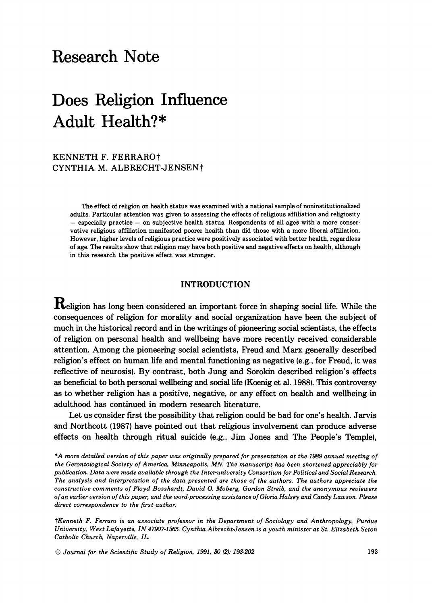## Research Note

# Does Religion Influence Adult Health?\*

KENNETH F. FERRAROt CYNTHIA M. ALBRECHT-JENSENt

> The effect of religion **on** health status was examined with a national sample of noninstitutionalized adults. Particular attention was given to assessing the effects of religious affiliation and religiosity - especially practice - on subjective health status. Respondents of **all** ages with a more conservative religious affiliation manifested poorer health than did those with a more liberal affiliation. However, higher levels of religious practice were positively associated with better health, regardless of age. The results show that religion may have both positive and negative effects on health, although in this research the positive effect was stronger.

#### INTRODUCTION

Religion has long been considered an important force in shaping social life. While the consequences of religion for morality and social organization have been the subject of much in the historical record and in the writings of pioneering social scientists, the effects of religion on personal health and wellbeing have more recently received considerable attention. Among the pioneering social scientists, Freud and Marx generally described religion's effect on human life and mental functioning as negative (e.g., for Freud, it was reflective of neurosis). By contrast, both Jung and Sorokin described religion's effects as beneficial to both personal wellbeing and social life (Koenig et al. 1988). This controversy as to whether religion has a positive, negative, or any effect on health and wellbeing in adulthood has continued in modern research literature.

Let us consider first the possibility that religion could be bad for one's health. Jarvis and Northcott (1987) have pointed out that religious involvement can produce adverse effects on health through ritual suicide (e.g., Jim Jones and The People's Temple),

*\*A more detailed version of this paper was originally prepared for presentation at the 1989 annual meeting of the Gerontological Society of America, Minneapolis, MN. The manuscript has been shortened appreciably for publication. Data were made available through the Interuniversity Consortium for Political and Social Research. The analysis and interpretation of the data presented are those of the authors. The authors appreciate the constructive comments of Floyd Bosshardt, David* **0.***Moberg, Gordon Streib, and the anonymous reviewers of an earlier version of this paper, and the word-processing assistance of Gloria Halsey and Candy Lawson. Please direct correspondence to the first author.* 

*?Kenneth F. Ferraro is an associate professor in the Department of Sociology and Anthropology, Purdue University, West Lafayette, IN47907-1365 Cynthia AlbrechtJensen is a youth minister at St. Elizabeth Seton Catholic Church, Naperville, IL.* 

**Q** *Journal for the Scientific Study of Religion, 1991, 30 12): 193-202* **193**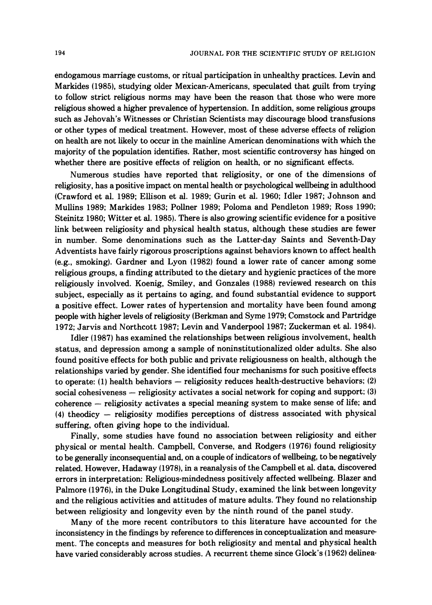endogamous marriage customs, or ritual participation in unhealthy practices. Levin and Markides (1985), studying older Mexican-Americans, speculated that guilt from trying to follow strict religious norms may have been the reason that those who were more religious showed a higher prevalence of hypertension. In addition, some religious groups such as Jehovah's Witnesses or Christian Scientists may discourage blood transfusions or other types of medical treatment. However, most of these adverse effects of religion on health are not likely to occur in the mainline American denominations with which the majority of the population identifies. Rather, most scientific controversy has hinged on whether there are positive effects of religion on health, or no significant effects.

Numerous studies have reported that religiosity, or one of the dimensions of religiosity, has a positive impact on mental health or psychological wellbeing in adulthood (Crawford et al. 1989; Ellison et al. 1989; Gurin et al. 1960; Idler 1987; Johnson and Mullins 1989; Markides 1983; Pollner 1989; Poloma and Pendleton 1989; Ross 1990; Steinitz 1980; Witter et al. 1985). There is also growing scientific evidence for a positive link between religiosity and physical health status, although these studies are fewer in number. Some denominations such as the Latter-day Saints and Seventh-Day Adventists have fairly rigorous proscriptions against behaviors known to affect health (e.g., smoking). Gardner and Lyon (1982) found a lower rate of cancer among some religious groups, a finding attributed to the dietary and hygienic practices of the more religiously involved. Koenig, Smiley, and Gonzales (1988) reviewed research on this subject, especially as it pertains to aging, and found substantial evidence to support a positive effect. Lower rates of hypertension and mortality have been found among people with higher levels of religiosity (Berkrnan and Syme 1979; Comstock and Partridge 1972; Jarvis and Northcott 1987; Levin and Vanderpool 1987; Zuckerman et al. 1984).

Idler (1987) has examined the relationships between religious involvement, health status, and depression among a sample of noninstitutionalized older adults. She also found positive effects for both public and private religiousness on health, although the relationships varied by gender. She identified four mechanisms for such positive effects to operate:  $(1)$  health behaviors  $-$  religiosity reduces health-destructive behaviors;  $(2)$ social cohesiveness - religiosity activates a social network for coping and support; (3) social cohesiveness – religiosity activates a social network for coping and support; (3)<br>coherence – religiosity activates a special meaning system to make sense of life; and coherence — religiosity activates a special meaning system to make sense of life; and<br>(4) theodicy — religiosity modifies perceptions of distress associated with physical suffering, often giving hope to the individual.

Finally, some studies have found no association between religiosity and either physical or mental health. Campbell, Converse, and Rodgers (1976) found religiosity to be generally inconsequential and, on a couple of indicators of wellbeing, to be negatively related. However, Hadaway (1978). in a reanalysis of the Campbell et al, data, discovered errors in interpretation: Religious-mindedness positively affected wellbeing. Blazer and Palmore (1976), in the Duke Longitudinal Study, examined the link between longevity and the religious activities and attitudes of mature adults. They found no relationship between religiosity and longevity even by the ninth round of the panel study.

Many of the more recent contributors to this literature have accounted for the inconsistency in the findings by reference to differences in conceptualization and measure ment. The concepts and measures for both religiosity and mental and physical health have varied considerably across studies. A recurrent theme since Glock's (1962) delinea-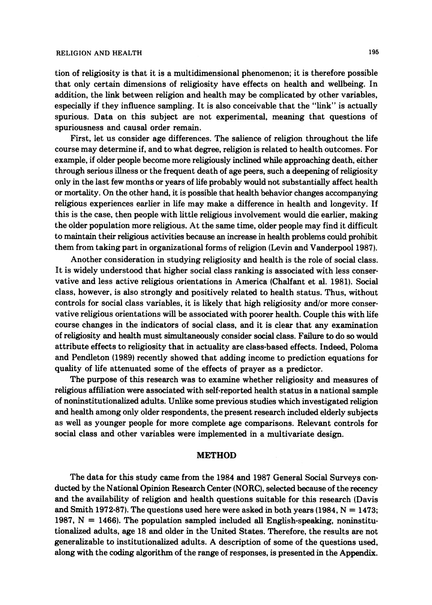#### RELIGION AND HEALTH 195

tion of religiosity is that it is a multidimensional phenomenon; it is therefore possible that only certain dimensions of religiosity have effects on health and wellbeing. In addition, the link between religion and health may be complicated by other variables, especially if they influence sampling. It is also conceivable that the "link" is actually spurious. Data on this subject are not experimental, meaning that questions of spuriousness and causal order remain.

First, let us consider age differences. The salience of religion throughout the life course may determine if, and to what degree, religion is related to health outcomes. For example, if older people become more religiously inclined while approaching death, either through serious illness or the frequent death of age peers, such a deepening of religiosity only in the last few months or years of life probably would not substantially affect health or mortality. On the other hand, it is possible that health behavior changes accompanying religious experiences earlier in life may make a difference in health and longevity. If this is the case, then people with little religious involvement would die earlier, making the older population more religious. At the same time, older people may find it difficult to maintain their religious activities because an increase in health problems could prohibit them from taking part in organizational forms of religion (Levin and Vanderpool1987).

Another consideration in studying religiosity and health is the role of social class. It is widely understood that higher social class ranking is associated with less conservative and less active religious orientations in America (Chalfant et al. 1981). Social class, however, is also strongly and positively related to health status. Thus, without controls for social class variables, it is likely that high religiosity and/or more conservative religious orientations will be associated with poorer health. Couple this with life course changes in the indicators of social class, and it is clear that any examination of religiosity and health must simultaneously consider social class. Failure to do so would attribute effects to religiosity that in actuality are class-based effects. Indeed, Poloma and Pendleton (1989) recently showed that adding income to prediction equations for quality of life attenuated some of the effects of prayer as a predictor.

The purpose of this research was to examine whether religiosity and measures of religious affiliation were associated with self-reported health status in a national sample of noninstitutionalized adults. Unlike some previous studies which investigated religion and health among only older respondents, the present research included elderly subjects as well as younger people for more complete age comparisons. Relevant controls for social class and other variables were implemented in a multivariate design.

#### METHOD

The data for this study came from the 1984 and 1987 General Social Surveys conducted by the National Opinion Research Center (NORC), selected because of the recency and the availability of religion and health questions suitable for this research (Davis and Smith 1972-87). The questions used here were asked in both years  $(1984, N = 1473;$ 1987, N = 1466). The population sampled included **all** English-speaking, noninstitutionalized adults, age 18 and older in the United States. Therefore, the results are not generalizable to institutionalized adults. A description of some of the questions used, along with the coding algorithm of the range of responses, is presented in the Appendix.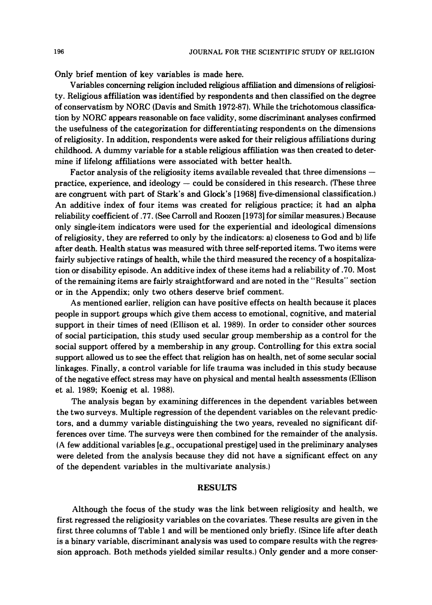Only brief mention of key variables is made here.

Variables concerning religion included religious affiliation and dimensions of religiosity. Religious affiliation was identified by respondents and then classified on the degree of conservatism by NORC (Davis and Smith 1972-87). While the trichotomous classification by NORC appears reasonable on face validity, some discriminant analyses confirmed the usefulness of the categorization for differentiating respondents on the dimensions of religiosity. In addition, respondents were asked for their religious affiliations during childhood. A dummy variable for a stable religious affiliation was then created to determine if lifelong affiliations were associated with better health.

Factor analysis of the religiosity items available revealed that three dimensions  $$ practice, experience, and ideology  $-\text{could}$  be considered in this research. (These three are congruent with part of Stark's and Glock's [1968] five-dimensional classification.) An additive index of four items was created for religious practice; it had an alpha reliability coefficient of .77. *(See*Carroll and Roozen [I9731 for similar measures.) Because only single-item indicators were used for the experiential and ideological dimensions of religiosity, they are referred to only by the indicators: a) closeness to God and b) life after death. Health status was measured with three self-reported items. Two items were fairly subjective ratings of health, while the third measured the recency of a hospitalization or disability episode. An additive index of these items had a reliability of .70. Most of the remaining items are fairly straightforward and are noted in the "Results" section or in the Appendix; only two others deserve brief comment.

As mentioned earlier, religion can have positive effects on health because it places people in support groups which give them access to emotional, cognitive, and material support in their times of need (Ellison et al. 1989). In order to consider other sources of social participation, this study used secular group membership as a control for the social support offered by a membership in any group. Controlling for this extra social support allowed us to see the effect that religion has on health, net of some secular social linkages. Finally, a control variable for life trauma was included in this study because of the negative effect stress may have on physical and mental health assessments (Ellison et al. 1989; Koenig et al. 1988).

The analysis began by examining differences in the dependent variables between the two surveys. Multiple regression of the dependent variables on the relevant predictors, and a dummy variable distinguishing the two years, revealed no significant differences over time. The surveys were then combined for the remainder of the analysis. (A few additional variables [e.g., occupational prestige] used in the preliminary analyses were deleted from the analysis because they did not have a significant effect on any of the dependent variables in the multivariate analysis.)

#### **RESULTS**

Although the focus of the study was the link between religiosity and health, we first regressed the religiosity variables on the covariates. These results are given in the first three columns of Table 1 and will be mentioned only briefly. (Since life after death is a binary variable, discriminant analysis was used to compare results with the regression approach. Both methods yielded similar results.) Only gender and a more conser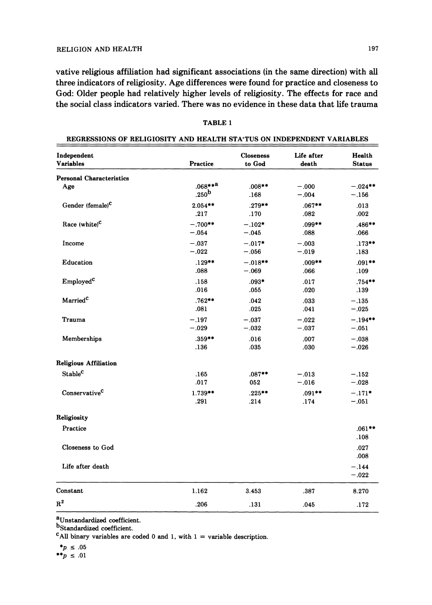vative religious affiliation had significant associations (in the same direction) with **all**  three indicators of religiosity. Age differences were found for practice and closeness to God: Older people had relatively higher levels of religiosity. The effects for race and the social class indicators varied. There was no evidence in these data that life trauma

| Independent                     | <b>Practice</b>   | <b>Closeness</b> | Life after | <b>Health</b>      |
|---------------------------------|-------------------|------------------|------------|--------------------|
| <b>Variables</b>                |                   | to God           | death      | <b>Status</b>      |
|                                 |                   |                  |            |                    |
| <b>Personal Characteristics</b> | $.068***a$        | $.008**$         | $-.000$    | $-.024**$          |
| Age                             | .250 <sup>b</sup> | .168             | $-.004$    | $-.156$            |
| Gender (female) <sup>C</sup>    | $2.054**$         | $.279***$        | $.067**$   | .013               |
|                                 | .217              | .170             | .082       | .002               |
| Race $(white)^C$                | $-.700**$         | $-.102*$         | $.099**$   | $.486***$          |
|                                 | $-.054$           | $-.045$          | .088       | .066               |
| Income                          | $-.037$           | $-.017*$         | $-.003$    | $.173***$          |
|                                 | $-.022$           | $-.056$          | $-.019$    | .183               |
| Education                       | $.129**$          | $-.018**$        | $.009**$   | $.091**$           |
|                                 | .088              | $-.069$          | .066       | .109               |
| Employed <sup>C</sup>           | .158              | $.093*$          | .017       | $.754**$           |
|                                 | .016              | .055             | .020       | .139               |
| Married <sup>C</sup>            | $.762**$          | .042             | .033       | $-.135$            |
|                                 | .081              | .025             | .041       | $-.025$            |
| Trauma                          | $-.197$           | $-.037$          | $-.022$    | $-.194**$          |
|                                 | $-.029$           | $-.032$          | $-.037$    | $-.051$            |
| Memberships                     | $.359***$         | .016             | .007       | $-.038$            |
|                                 | .136              | .035             | .030       | $-.026$            |
| <b>Religious Affiliation</b>    |                   |                  |            |                    |
| Stable <sup>c</sup>             | .165              | $.087**$         | $-.013$    | $-.152$            |
|                                 | .017              | 052              | $-.016$    | $-.028$            |
| Conservative <sup>C</sup>       | $1.739**$         | $.225***$        | $.091***$  | $-.171*$           |
|                                 | .291              | .214             | .174       | $-.051$            |
| Religiosity                     |                   |                  |            |                    |
| Practice                        |                   |                  |            | $.061***$<br>.108  |
| Closeness to God                |                   |                  |            | .027<br>.008       |
| Life after death                |                   |                  |            | $-.144$<br>$-.022$ |
| Constant                        | 1.162             | 3.453            | .387       | 8.270              |
| $R^2$                           | .206              | .131             | .045       | .172               |

### TABLE **1**  REGRESSIONS OF RELIGIOSITY AND HEALTH STA'TUS ON INDEPENDENT VARIABLES

<sup>a</sup>Unstandardized coefficient.

b<sub>Standardized</sub> coefficient.

<sup>c</sup>All binary variables are coded 0 and 1, with  $1 =$  variable description.

 $^*p \le .05$ 

$$
^{**}p~\leq~.01
$$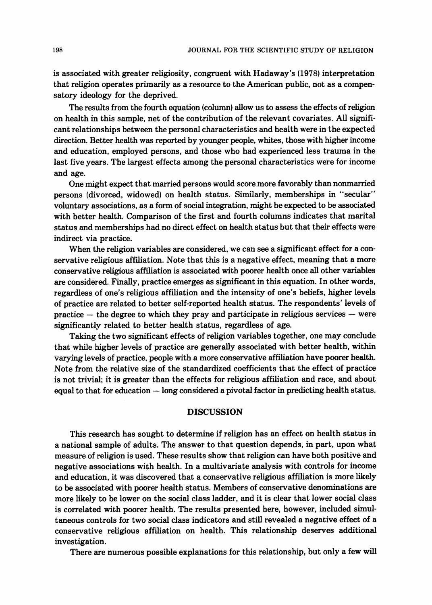is associated with greater religiosity, congruent with Hadaway's (1978) interpretation that religion operates primarily as a resource to the American public, not as a compensatory ideology for the deprived.

The results from the fourth equation (column) allow us to assess the effects of religion on health in this sample, net of the contribution of the relevant covariates. **All** significant relationships between the personal characteristics and health were in the expected direction. Better health was reported by younger people, whites, those with higher income and education, employed persons, and those who had experienced less trauma in the last five years. The largest effects among the personal characteristics were for income and age.

One might expect that married persons would score more favorably than nonmarried persons (divorced, widowed) on health status. Similarly, memberships in "secular" voluntary associations, as a form of social integration, might be expected to be associated with better health. Comparison of the first and fourth columns indicates that marital status and memberships had no direct effect on health status but that their effects were indirect via practice.

When the religion variables are considered, we can see a significant effect for a conservative religious affiliation. Note that this is a negative effect, meaning that a more conservative religious affiliation is associated with poorer health once all other variables are considered. Finally, practice emerges as significant in this equation. In other words, regardless of one's religious affiliation and the intensity of one's beliefs, higher levels of practice are related to better self-reported health status. The respondents' levels of  $practive - the degree to which they proxy and participate in religious services - were$ significantly related to better health status, regardless of age.

Taking the two significant effects of religion variables together, one may conclude that while higher levels of practice are generally associated with better health, within varying levels of practice, people with a more conservative affiliation have poorer health. Note from the relative size of the standardized coefficients that the effect of practice is not trivial; it is greater than the effects for religious affiliation and race, and about equal to that for education  $-\log$  considered a pivotal factor in predicting health status.

#### **DISCUSSION**

This research has sought to determine if religion has an effect on health status in a national sample of adults. The answer to that question depends, in part, upon what measure of religion is used. These results show that religion can have both positive and negative associations with health. In a multivariate analysis with controls for income and education, it was discovered that a conservative religious affiliation is more likely to be associated with poorer health status. Members of conservative denominations are more likely to be lower on the social class ladder, and it is clear that lower social class is correlated with poorer health. The results presented here, however, included simultaneous controls for two social class indicators and still revealed a negative effect of a conservative religious affiliation on health. This relationship deserves additional investigation.

There are numerous possible explanations for this relationship, but only a few will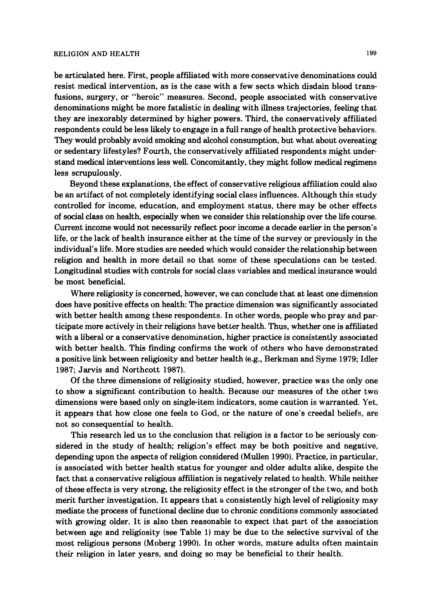be articulated here. First, people affiliated with more conservative denominations could resist medical intervention, as is the case with a few sects which disdain blood transfusions, surgery, or "heroic" measures. Second, people associated with conservative denominations might be more fatalistic in dealing with illness trajectories, feeling that they are inexorably determined by higher powers. Third, the conservatively affiliated respondents could be less likely to engage in a full range of health protective behaviors. They would probably avoid smoking and alcohol consumption, but what about overeating or sedentary lifestyles? Fourth, the conservatively affiliated respondents might understand medical interventions less well. Concomitantly, they might follow medical regimens less scrupulously.

Beyond these explanations, the effect of conservative religious affiliation could also be an artifact of not completely identifying social class influences. Although this study controlled for income, education, and employment status, there may be other effects of social class on health, especially when we consider this relationship over the life course. Current income would not necessarily reflect poor income a decade earlier in the person's life, or the lack of health insurance either at the time of the survey or previously in the individual's life. More studies are needed which would consider the relationship between religion and health in more detail so that some of these speculations can be tested. Longitudinal studies with controls for social class variables and medical insurance would be most beneficial.

Where religiosity is concerned, however, we can conclude that at least one dimension does have positive effects on health: The practice dimension was significantly associated with better health among these respondents. In other words, people who pray and participate more actively in their religions have better health. Thus, whether one is affiliated with a liberal or a conservative denomination, higher practice is consistently associated with better health. This finding confirms the work of others who have demonstrated a positive link between religiosity ancl better health (e.g., Berkman and Syme **1979;** Idler **1987;** Jarvis and Northcott **1987).** 

Of the three dimensions of religiosity studied, however, practice was the only one to show a significant contribution to health. Because our measures of the other two dimensions were based only on single-item indicators, some caution is warranted. Yet, it appears that how close one feels to God, or the nature of one's creedal beliefs, are not so consequential to health.

This research led us to the conclusion that religion is a factor to be seriously considered in the study of health; religion's effect may be both positive and negative. depending upon the aspects of religion considered (Mullen **1990).**Practice, in particular, is associated with better health status for younger and older adults alike, despite the fact that a conservative religious affiliation is negatively related to health. While neither of these effects is very strong, the religiosity effect is the stronger of the two, and both merit further investigation. It appears that **a** consistently high level of religiosity may mediate the process of functional decline due to chronic conditions commonly associated with growing older. It is also then reasonable to expect that part of the association between age and religiosity (see Table **1)** may be due to the selective survival of the most religious persons (Moberg **1990).** In other words, mature adults often maintain their religion in later years, and doing so may be beneficial to their health.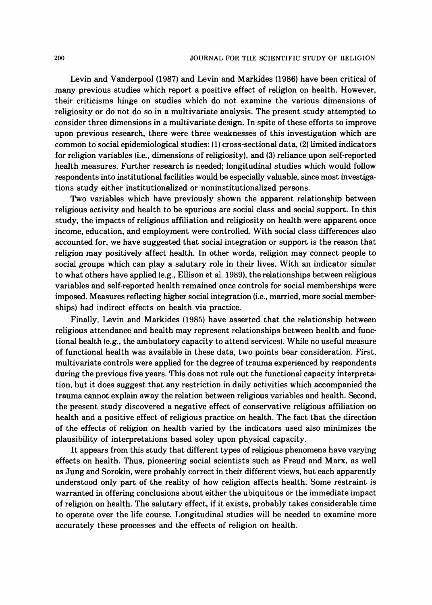Levin and Vanderpool (1987) and Levin and Markides (1986) have been critical of many previous studies which report a positive effect of religion on health. However, their criticisms hinge on studies which do not examine the various dimensions of religiosity or do not do so in a multivariate analysis. The present study attempted to consider three dimensions in a multivariate design. In spite of these efforts to improve upon previous research, there were three weaknesses of this investigation which are common to social epidemiological studies: (1)cross-sectional data, **(2)**limited indicators for religion variables (i.e., dimensions of religiosity), and **(3)**reliance upon self-reported health measures. Further research is needed; longitudinal studies which would follow respondents into institutional facilities would be especially valuable, since most investigations study either institutionalized or noninstitutionalized persons.

Two variables which have previously shown the apparent relationship between religious activity and health to be spurious are social class and social support. In this study, the impacts of religious affiliation and religiosity on health were apparent once income, education, and employment were controlled. With social class differences also accounted for, we have suggested that social integration or support is the reason that religion may positively affect health. In other words, religion may connect people to social groups which can play a salutary role in their lives. With an indicator similar to what others have applied (e.g., Ellison et al. 1989), the relationships between religious variables and self-reported health remained once controls for social memberships were imposed. Measures reflecting higher social integration (i.e., married, more social memberships) had indirect effects on health via practice.

Finally, Levin and Markides (1985) have asserted that the relationship between religious attendance and health may represent relationships between health and functional health (e.g., the ambulatory capacity to attend services). While no useful measure of functional health was available in these data, two points bear consideration. First, multivariate controls were applied for the degree of trauma experienced by respondents during the previous five years. This does not rule out the functional capacity interpretation, but it does suggest that any restriction in daily activities which accompanied the trauma cannot explain away the relation between religious variables and health. Second, the present study discovered a negative effect of conservative religious affiliation on health and a positive effect of religious practice on health. The fact that the direction of the effects of religion on health varied by the indicators used also minimizes the plausibility of interpretations based soley upon physical capacity.

It appears from this study that different types of religious phenomena have varying effects on health. Thus, pioneering social scientists such as Freud and Marx, as well as Jung and Sorokin, were probably correct in their different views, but each apparently understood only part of the reality of how religion affects health. Some restraint is warranted in offering conclusions about either the ubiquitous or the immediate impact of religion on health. The salutary effect, if it exists, probably takes considerable time to operate over the life course. Longitudinal studies will be needed to examine more accurately these processes and the effects of religion on health.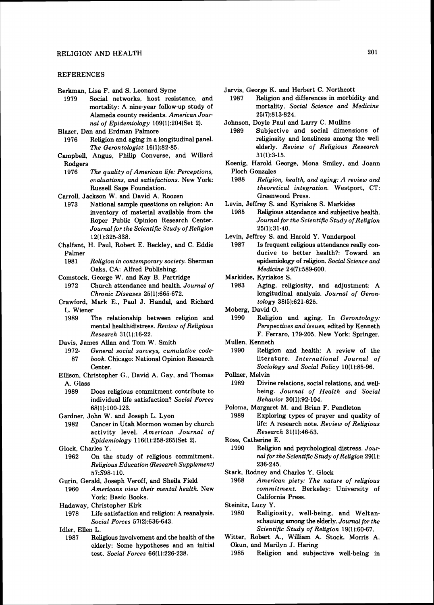#### **REFERENCES**

Berkman, Lisa F. and S. Leonard Syme<br>1979 Social networks, host resis

Social networks, host resistance, and mortality: A nine-year follow-up study of Alameda county residents. American Journal of Epidemiology 109(1):204(Set 2).

Blazer, Dan and Erdman Palmore

- Religion and aging in a longitudinal panel. The Gerontologist 16(1):82-85.
- Campbell, Angus, Philip Converse, and Willard Rodgers<br>1976
	- The quality of American life: Perceptions, evaluations, and satisfactions. New York: Russell Sage Foundation.
- Carroll, Jackson W. and David A. Roozen
- National sample questions on religion: An inventory of material available from the Roper Public Opinion Research Center. Journal for the Scientific Study of Religion 12(1):325-338.
- Chalfant, H. Paul, Robert E. Beckley, and C. Eddie Palmer<br>1981
	- Religion in contemporary society. Sherman Oaks, CA: Alfred Publishing.
- Comstock, George W. and Kay B. Partridge
- 1972 Church attendance and health. Journal of Chronic Diseases 25(1):665-672.
- Crawford, Mark E., Paul J. Handal, and Richard L. Wiener<br>1989 – J
	- The relationship between religion and mental health/distress. Review of Religious Research 3111):16-22.
- Davis, James Allan and Tom W. Smith
	- 1972- General social surveys, cumulative code-87 book. Chicago: National Opinion Research Center.
- Ellison, Christopher G., David A. Gay, and Thomas A. Glass
	- Does religious commitment contribute to individual life satisfaction? Social Forces 68il):lOO-123.
- Gardner, John W. and Joseph L. Lyon
- 1982 Cancer in Utah Mormon women by church activity level. American Journal of Epidemiology 116(1):258-265(Set 2).
- Glock, Charles Y.
- 1962 On the study of religious commitment. Religious Education (Research Supplement) 57:S98-110.
- Gurin, Gerald, Joseph Veroff, and Sheila Field 1960 Americans view their mental health. New
- York: Basic Books. Hadaway, Christopher Kirk
- 1978 Life satisfaction and religion: A reanalysis. Social Forces 57(2):636-643.

Idler, Ellen L.

1987 Rehgious involvement and the health of the elderly: Some hypotheses and an initial test. Social Forces 66(1):226-238.

- Religion and differences in morbidity and mortality. Social Science and Medicine 25(7):813-824.
- Johnson, Doyle Paul and Larry C. Mullins
- Subjective and social dimensions of religiosity and loneliness among the well elderly. Review of Religious Research 31(1):3-15.
- Koenig, Harold George, Mona Smiley, and Joann Ploch Gonzales<br>1988 Religio
- Religion, health, and aging: A review and theoretical integration. Westport, CT: Greenwood Press.
- Levin, Jeffrey S. and Kyriakos S. Markides
	- Religious attendance and subjective health. Journal for the Scientific Study of Religion 25(1):31-40.
- Levin, Jeffrey S. and Harold Y. Vanderpool
	- 1987 Is frequent religious attendance really conducive to better health?: Toward an epidemiology of religion. Social Science and Medicine 24(7):589-600.
- Markides, Kyriakos S.
	- Aging, religiosity, and adjustment: A longitudinal analysis. Journal of Gerontology 38(5):621-625.
- Moberg, David O.<br>1990 Religion
	- Religion and aging. In  $Gernology$ : Perspectives and issues, edited by Kenneth F. Ferraro. 179-205. New York: Springer.
- Mullen, Kenneth
	- Religion and health: A review of the literature. International Journal of Sociology and Social Policy 10(1):85-96.
- Pollner, Melvin
	- 1989 Divine relations, social relations, and wellbeing. Journal of Health and Social Behavior 30(1):92-104.
- Poloma. Margaret M. and Brian **F.** Pendleton
- Exploring types of prayer and quality of life: A research note. Review of Religious Research 31(1):46-53.
- Ross, Catherine E.<br>1990 Religion
	- Religion and psychological distress. Journal for the Scientific Study of Religion 29(1): 236-245.
- Stark, Rodney and Charles Y. Glock
	- 1968 American piety: The nature of religious commitment. Berkeley: University of California Press.
- Steinitz, Lucy Y.
	- 1980 Religiosity, well-being, and Weltanschauung among the elderly. Journal for the Scientific Study of Religion 19(1):60-67.
- Witter, Robert A., William A. Stock, Morris A. Okun, and Marilyn J. Haring
	- 1985 Religion and subjective well-being in